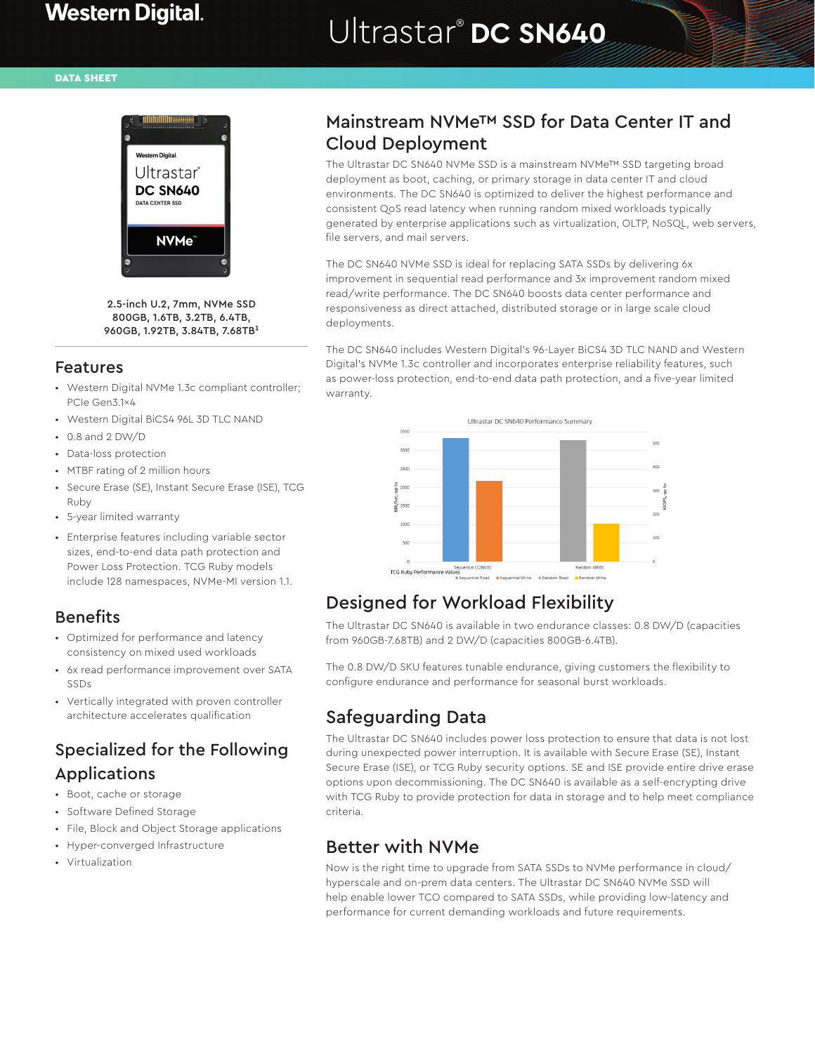#### DATA SHEET



2.5-inch U.2, 7mm, NVMe SSD 800GB, 1.6TB, 3.2TB, 6.4TB, 960GB, 1.92TB, 3.84TB, 7.68TB<sup>1</sup>

#### Features

- Western Digital NVMe 1.3c compliant controller; PCIe Gen3.1x4
- Western Digital BiCS4 96L 3D TLC NAND
- 0.8 and 2 DW/D
- Data-loss protection
- MTBF rating of 2 million hours
- Secure Erase (SE), Instant Secure Erase (ISE), TCG Ruby
- 5-year limited warranty
- Enterprise features including variable sector sizes, end-to-end data path protection and Power Loss Protection. TCG Ruby models include 128 namespaces, NVMe-MI version 1.1.

### Benefits

- Optimized for performance and latency consistency on mixed used workloads
- 6x read performance improvement over SATA SSDs
- Vertically integrated with proven controller architecture accelerates qualification

# Specialized for the Following Applications

- Boot, cache or storage
- Software Defined Storage
- File, Block and Object Storage applications
- Hyper-converged Infrastructure
- Virtualization

## Mainstream NVMe™ SSD for Data Center IT and Cloud Deployment

The Ultrastar DC SN640 NVMe SSD is a mainstream NVMe™ SSD targeting broad deployment as boot, caching, or primary storage in data center IT and cloud environments. The DC SN640 is optimized to deliver the highest performance and consistent QoS read latency when running random mixed workloads typically generated by enterprise applications such as virtualization, OLTP, NoSQL, web servers, file servers, and mail servers.

The DC SN640 NVMe SSD is ideal for replacing SATA SSDs by delivering 6x improvement in sequential read performance and 3x improvement random mixed read/write performance. The DC SN640 boosts data center performance and responsiveness as direct attached, distributed storage or in large scale cloud deployments.

The DC SN640 includes Western Digital's 96-Layer BiCS4 3D TLC NAND and Western Digital's NVMe 1.3c controller and incorporates enterprise reliability features, such as power-loss protection, end-to-end data path protection, and a five-year limited warranty.



# Designed for Workload Flexibility

The Ultrastar DC SN640 is available in two endurance classes: 0.8 DW/D (capacities from 960GB-7.68TB) and 2 DW/D (capacities 800GB-6.4TB).

The 0.8 DW/D SKU features tunable endurance, giving customers the flexibility to configure endurance and performance for seasonal burst workloads.

# Safeguarding Data

The Ultrastar DC SN640 includes power loss protection to ensure that data is not lost during unexpected power interruption. It is available with Secure Erase (SE), Instant Secure Erase (ISE), or TCG Ruby security options. SE and ISE provide entire drive erase options upon decommissioning. The DC SN640 is available as a self-encrypting drive with TCG Ruby to provide protection for data in storage and to help meet compliance criteria.

## Better with NVMe

Now is the right time to upgrade from SATA SSDs to NVMe performance in cloud/ hyperscale and on-prem data centers. The Ultrastar DC SN640 NVMe SSD will help enable lower TCO compared to SATA SSDs, while providing low-latency and performance for current demanding workloads and future requirements.